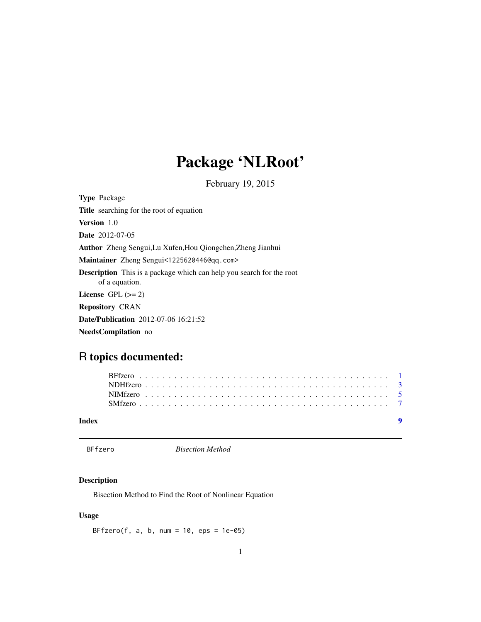## Package 'NLRoot'

February 19, 2015

<span id="page-0-0"></span>

| <b>Type Package</b>                                                                           |
|-----------------------------------------------------------------------------------------------|
| <b>Title</b> searching for the root of equation                                               |
| <b>Version</b> 1.0                                                                            |
| <b>Date</b> 2012-07-05                                                                        |
| <b>Author</b> Zheng Sengui, Lu Xufen, Hou Qiongchen, Zheng Jianhui                            |
| Maintainer Zheng Sengui<1225620446@qq.com>                                                    |
| <b>Description</b> This is a package which can help you search for the root<br>of a equation. |
| License $GPL (= 2)$                                                                           |
| <b>Repository CRAN</b>                                                                        |
| <b>Date/Publication</b> 2012-07-06 16:21:52                                                   |
| <b>NeedsCompilation</b> no                                                                    |

## R topics documented:

| Index |  |  |  |  |  |  |  |  |  |  |  |  |  |  |  |  |  |  |  |  |  | $\blacksquare$ |  |
|-------|--|--|--|--|--|--|--|--|--|--|--|--|--|--|--|--|--|--|--|--|--|----------------|--|
|       |  |  |  |  |  |  |  |  |  |  |  |  |  |  |  |  |  |  |  |  |  |                |  |
|       |  |  |  |  |  |  |  |  |  |  |  |  |  |  |  |  |  |  |  |  |  |                |  |
|       |  |  |  |  |  |  |  |  |  |  |  |  |  |  |  |  |  |  |  |  |  |                |  |
|       |  |  |  |  |  |  |  |  |  |  |  |  |  |  |  |  |  |  |  |  |  |                |  |

<span id="page-0-1"></span>BFfzero *Bisection Method*

### Description

Bisection Method to Find the Root of Nonlinear Equation

### Usage

BFfzero(f, a, b, num =  $10$ , eps =  $1e-05$ )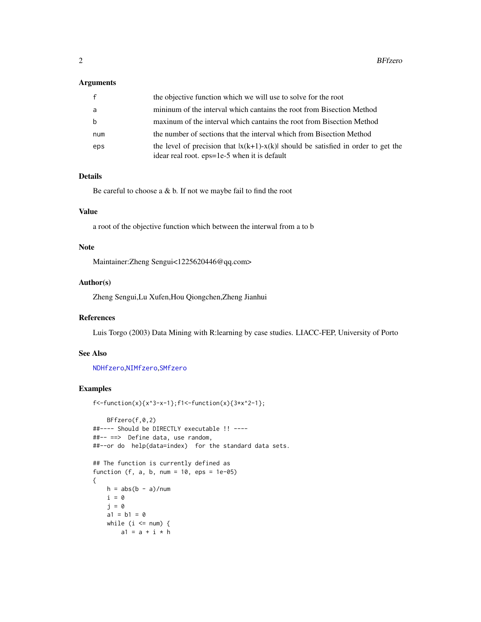#### <span id="page-1-0"></span>Arguments

| f   | the objective function which we will use to solve for the root                                                                      |
|-----|-------------------------------------------------------------------------------------------------------------------------------------|
| a   | minimum of the interval which cantains the root from Bisection Method                                                               |
| b   | maxinum of the interval which cantains the root from Bisection Method                                                               |
| num | the number of sections that the interval which from Bisection Method                                                                |
| eps | the level of precision that $ x(k+1)-x(k) $ should be satisfied in order to get the<br>idear real root. eps=1e-5 when it is default |

#### Details

Be careful to choose a  $&b.$  If not we maybe fail to find the root

#### Value

a root of the objective function which between the interwal from a to b

#### Note

Maintainer:Zheng Sengui<1225620446@qq.com>

#### Author(s)

Zheng Sengui,Lu Xufen,Hou Qiongchen,Zheng Jianhui

#### References

Luis Torgo (2003) Data Mining with R:learning by case studies. LIACC-FEP, University of Porto

#### See Also

#### [NDHfzero](#page-2-1),[NIMfzero](#page-4-1),[SMfzero](#page-6-1)

```
f <-function(x){x^3-x-1};f1<-function(x){3*x^2-1};
```

```
BFfzero(f,0,2)
##---- Should be DIRECTLY executable !! ----
##-- ==> Define data, use random,
##--or do help(data=index) for the standard data sets.
## The function is currently defined as
function (f, a, b, num = 10,eps = 1e-05){
   h = abs(b - a)/numi = 0
   i = 0a1 = b1 = 0while (i \le num) {
       a1 = a + i * h
```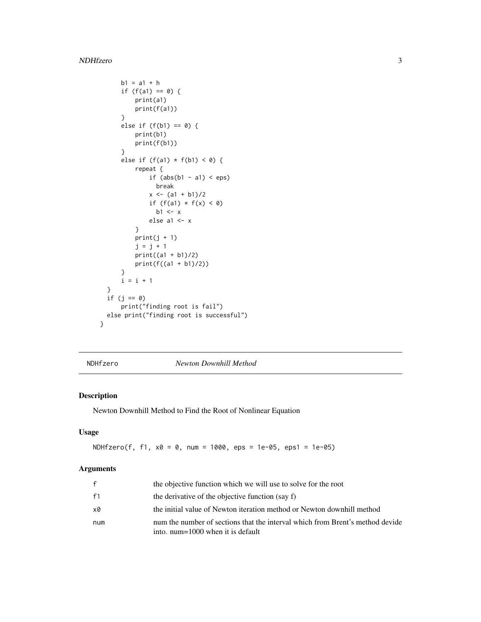#### <span id="page-2-0"></span>NDHfzero 3

```
b1 = a1 + hif (f(a1) == 0) {
          print(a1)
          print(f(a1))
     }
     else if (f(b1) == 0) {
          print(b1)
          print(f(b1))
     }
     else if (f(a1) * f(b1) < 0) {
          repeat {
              if (abs(b1 - a1) < eps)break
              x \leftarrow (a1 + b1)/2if (f(a1) * f(x) < 0)b1 <- x
              else a1 <- x
          }
          print(j + 1)j = j + 1print((a1 + b1)/2)
          print(f((a1 + b1)/2))
     }
     i = i + 1}
  if (j == 0)print("finding root is fail")
 else print("finding root is successful")
}
```
<span id="page-2-1"></span>NDHfzero *Newton Downhill Method*

#### Description

Newton Downhill Method to Find the Root of Nonlinear Equation

#### Usage

NDHfzero(f, f1, x0 = 0, num = 1000, eps = 1e-05, eps1 = 1e-05)

#### Arguments

| $\mathbf{f}$ | the objective function which we will use to solve for the root                                                        |
|--------------|-----------------------------------------------------------------------------------------------------------------------|
| f1           | the derivative of the objective function (say f)                                                                      |
| x0           | the initial value of Newton iteration method or Newton downhill method                                                |
| num          | num the number of sections that the interval which from Brent's method devide<br>into. num= $1000$ when it is default |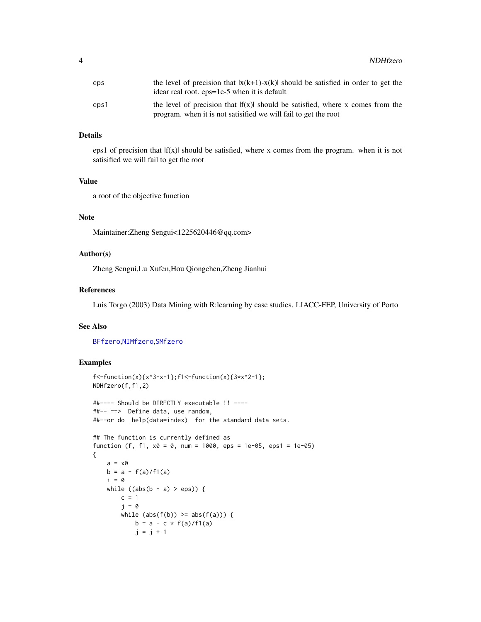<span id="page-3-0"></span>

| eps  | the level of precision that $ x(k+1)-x(k) $ should be satisfied in order to get the<br>idear real root. eps=1e-5 when it is default                |
|------|----------------------------------------------------------------------------------------------------------------------------------------------------|
| eps1 | the level of precision that $ f(x) $ should be satisfied, where x comes from the<br>program, when it is not satisfied we will fail to get the root |

#### Details

eps1 of precision that  $|f(x)|$  should be satisfied, where x comes from the program. when it is not satisified we will fail to get the root

#### Value

a root of the objective function

#### Note

Maintainer:Zheng Sengui<1225620446@qq.com>

#### Author(s)

Zheng Sengui,Lu Xufen,Hou Qiongchen,Zheng Jianhui

#### References

Luis Torgo (2003) Data Mining with R:learning by case studies. LIACC-FEP, University of Porto

#### See Also

[BFfzero](#page-0-1),[NIMfzero](#page-4-1),[SMfzero](#page-6-1)

```
f <-function(x){x^3-x-1};f1<-function(x){3*x^2-1};
NDHfzero(f,f1,2)
##---- Should be DIRECTLY executable !! ----
##-- ==> Define data, use random,
##--or do help(data=index) for the standard data sets.
## The function is currently defined as
function (f, f1, x0 = 0, num = 1000, eps = 1e-05, eps1 = 1e-05)
{
   a = x0b = a - f(a)/f1(a)i = 0while ((abs(b - a) > eps)) {
       c = 1j = 0while (abs(f(b)) \geq abs(f(a))) {
           b = a - c * f(a)/f1(a)j = j + 1
```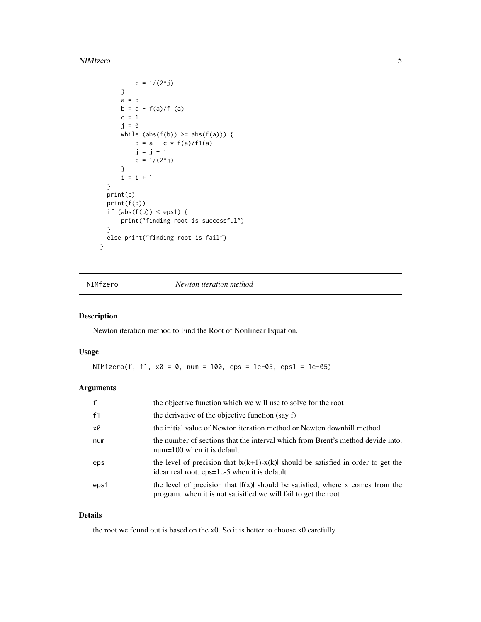#### <span id="page-4-0"></span>NIMfzero 5

```
c = 1/(2<sup>0</sup>j)}
      a = bb = a - f(a)/f1(a)c = 1j = 0
      while (abs(f(b)) \geq abs(f(a))) {
          b = a - c * f(a)/f1(a)j = j + 1c = 1/(2<sup>2</sup>j)}
      i = i + 1}
 print(b)
 print(f(b))
 if (abs(f(b)) < eps1) {
      print("finding root is successful")
  }
 else print("finding root is fail")
}
```
<span id="page-4-1"></span>NIMfzero *Newton iteration method*

#### Description

Newton iteration method to Find the Root of Nonlinear Equation.

#### Usage

NIMfzero(f, f1,  $x0 = 0$ , num = 100, eps = 1e-05, eps1 = 1e-05)

#### Arguments

| $\mathsf{f}$ | the objective function which we will use to solve for the root                                                                                    |
|--------------|---------------------------------------------------------------------------------------------------------------------------------------------------|
| f1           | the derivative of the objective function (say f)                                                                                                  |
| x0           | the initial value of Newton iteration method or Newton downhill method                                                                            |
| num          | the number of sections that the interval which from Brent's method devide into.<br>$num=100$ when it is default                                   |
| eps          | the level of precision that $ x(k+1)-x(k) $ should be satisfied in order to get the<br>idear real root. eps=1e-5 when it is default               |
| eps1         | the level of precision that $f(x)$ should be satisfied, where x comes from the<br>program, when it is not satisified we will fail to get the root |

#### Details

the root we found out is based on the x0. So it is better to choose x0 carefully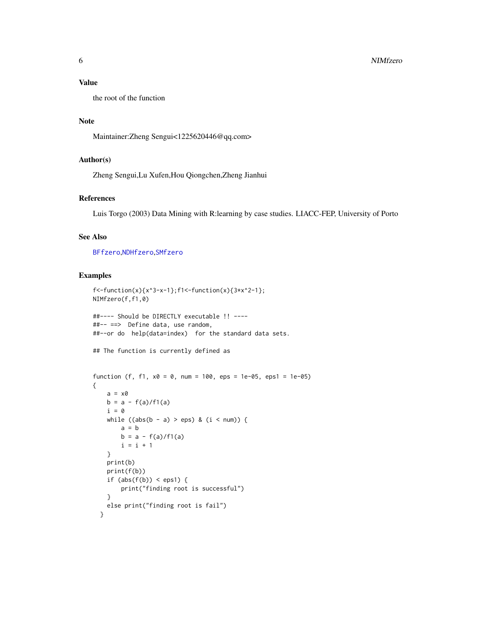#### <span id="page-5-0"></span>Value

the root of the function

#### Note

Maintainer:Zheng Sengui<1225620446@qq.com>

#### Author(s)

Zheng Sengui,Lu Xufen,Hou Qiongchen,Zheng Jianhui

#### References

Luis Torgo (2003) Data Mining with R:learning by case studies. LIACC-FEP, University of Porto

#### See Also

[BFfzero](#page-0-1),[NDHfzero](#page-2-1),[SMfzero](#page-6-1)

```
f <-function(x){x^3-x-1};f1<-function(x){3*x^2-1};
NIMfzero(f,f1,0)
##---- Should be DIRECTLY executable !! ----
##-- ==> Define data, use random,
##--or do help(data=index) for the standard data sets.
## The function is currently defined as
function (f, f1, x0 = 0, num = 100, eps = 1e-05, eps1 = 1e-05)
{
   a = x0b = a - f(a)/f1(a)i = 0while ((abs(b - a) > eps) & (i < num))a = bb = a - f(a)/f1(a)i = i + 1}
   print(b)
   print(f(b))
   if (abs(f(b)) < eps1) {
       print("finding root is successful")
    }
   else print("finding root is fail")
 }
```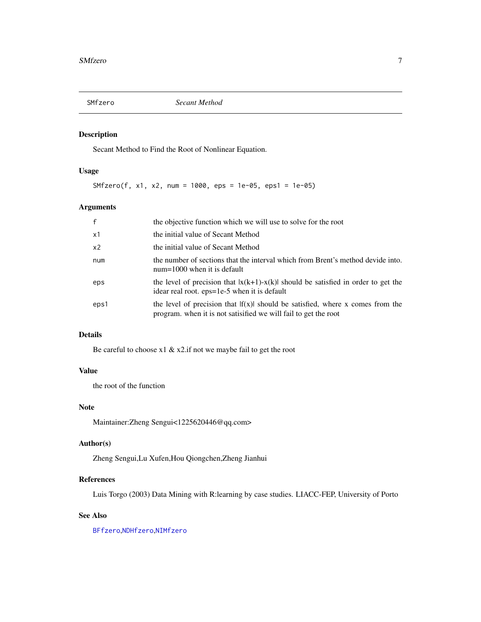<span id="page-6-1"></span><span id="page-6-0"></span>

#### Description

Secant Method to Find the Root of Nonlinear Equation.

#### Usage

SMfzero(f, x1, x2, num = 1000, eps = 1e-05, eps1 = 1e-05)

### Arguments

| $\mathsf{f}$   | the objective function which we will use to solve for the root                                                                                   |
|----------------|--------------------------------------------------------------------------------------------------------------------------------------------------|
| x1             | the initial value of Secant Method                                                                                                               |
| x <sub>2</sub> | the initial value of Secant Method                                                                                                               |
| num            | the number of sections that the interval which from Brent's method devide into.<br>$num=1000$ when it is default                                 |
| eps            | the level of precision that $ x(k+1)-x(k) $ should be satisfied in order to get the<br>idear real root. eps=1e-5 when it is default              |
| eps1           | the level of precision that $f(x)$ should be satisfied, where x comes from the<br>program, when it is not satisfied we will fail to get the root |

#### Details

Be careful to choose x1 & x2.if not we maybe fail to get the root

#### Value

the root of the function

#### Note

Maintainer:Zheng Sengui<1225620446@qq.com>

#### Author(s)

Zheng Sengui,Lu Xufen,Hou Qiongchen,Zheng Jianhui

#### References

Luis Torgo (2003) Data Mining with R:learning by case studies. LIACC-FEP, University of Porto

#### See Also

[BFfzero](#page-0-1),[NDHfzero](#page-2-1),[NIMfzero](#page-4-1)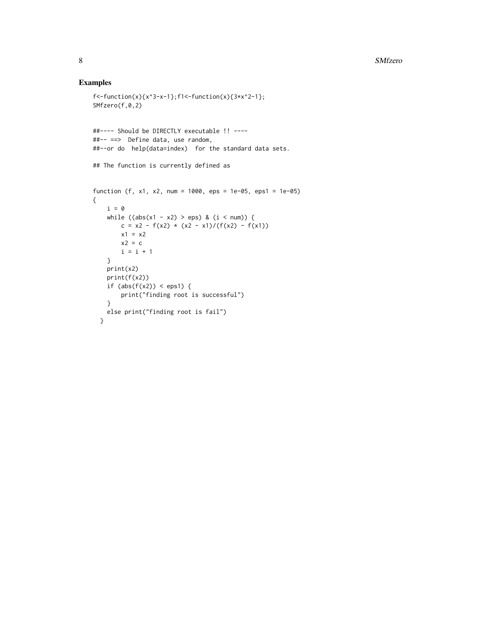```
f <-function(x){x^3-x-1};f1<-function(x){3*x^2-1};
SMfzero(f,0,2)
##---- Should be DIRECTLY executable !! ----
##-- ==> Define data, use random,
##--or do help(data=index) for the standard data sets.
## The function is currently defined as
function (f, x1, x2, num = 1000, eps = 1e-05, eps1 = 1e-05)
{
   i = 0
   while ((abs(x1 - x2) > eps) & (i < num)) {
      c = x2 - f(x2) * (x2 - x1)/(f(x2) - f(x1))
       x1 = x2x2 = ci = i + 1}
   print(x2)
   print(f(x2))
   if (abs(f(x2)) < eps1) {
       print("finding root is successful")
   }
   else print("finding root is fail")
 }
```